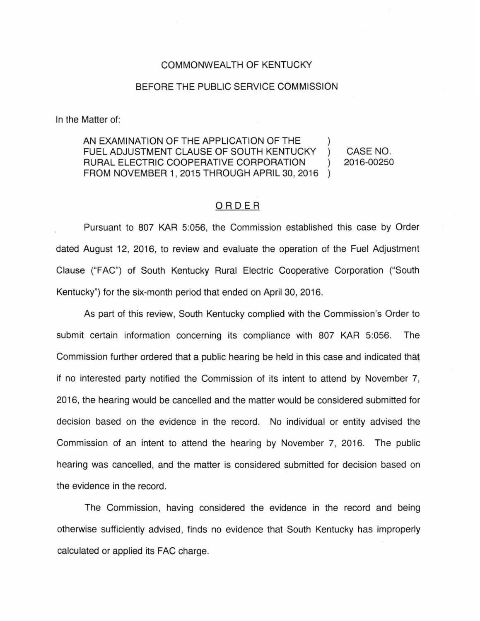## COMMONWEALTH OF KENTUCKY

## BEFORE THE PUBLIC SERVICE COMMISSION

In the Matter of:

AN EXAMINATION OF THE APPLICATION OF THE FUEL ADJUSTMENT CLAUSE OF SOUTH KENTUCKY RURAL ELECTRIC COOPERATIVE CORPORATION FROM NOVEMBER 1, 2015 THROUGH APRIL 30, 2016

CASE NO. 2016-00250

## ORDER

Pursuant to 807 KAR 5:056, the Commission established this case by Order dated August 12, 2016, to review and evaluate the operation of the Fuel Adjustment Clause ("FAC") of South Kentucky Rural Electric Cooperative Corporation ("South Kentucky") for the six-month period that ended on April 30, 2016.

As part of this review, South Kentucky complied with the Commission's Order to submit certain information concerning its compliance with 807 KAR 5:056. The Commission further ordered that a public hearing be held in this case and indicated that if no interested party notified the Commission of its intent to attend by November 7, 2016, the hearing would be cancelled and the matter would be considered submitted for decision based on the evidence in the record. No individual or entity advised the Commission of an intent to attend the hearing by November 7, 2016. The public hearing was cancelled, and the matter is considered submitted for decision based on the evidence in the record.

The Commission, having considered the evidence in the record and being otherwise sufficiently advised, finds no evidence that South Kentucky has improperly calculated or applied its FAC charge.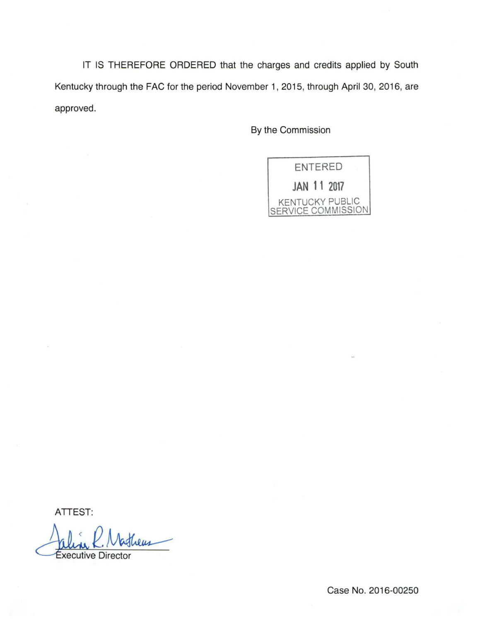IT IS THEREFORE ORDERED that the charges and credits applied by South Kentucky through the FAC for the period November 1, 2015, through April 30, 2016, are approved.

By the Commission



ATTEST:

aline K. Natheus<br>Executive Director

Case No. 2016-00250